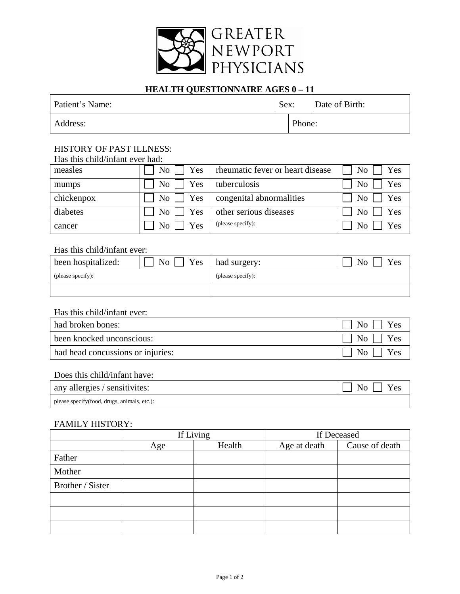

# **HEALTH QUESTIONNAIRE AGES 0 - 11**

| Patient's Name: | Sex: |        | Date of Birth: |
|-----------------|------|--------|----------------|
| Address:        |      | Phone: |                |

# HISTORY OF PAST ILLNESS:

| measles    | Yes<br>$\rm{No}$        | rheumatic fever or heart disease | N <sub>o</sub><br>Yes |
|------------|-------------------------|----------------------------------|-----------------------|
| mumps      | Yes<br>$\rm{No}$        | tuberculosis                     | Yes<br>N <sub>0</sub> |
| chickenpox | Yes<br>$\overline{N_0}$ | congenital abnormalities         | Yes<br>N <sub>0</sub> |
| diabetes   | Yes<br>$\rm No$         | other serious diseases           | Yes<br>N <sub>0</sub> |
| cancer     | Yes<br>N <sub>0</sub>   | (please specify):                | Yes<br>No             |

# Has this child/infant ever:

| been hospitalized: | Yes<br>N <sub>o</sub> | had surgery:      | Yes<br>No |
|--------------------|-----------------------|-------------------|-----------|
| (please specify):  |                       | (please specify): |           |
|                    |                       |                   |           |

### Has this child/infant ever:

| had broken bones:                 | Yes<br>Nο           |
|-----------------------------------|---------------------|
| been knocked unconscious:         | $N_{\Omega}$<br>Yes |
| had head concussions or injuries: | Yes<br>Nο           |

#### Does this child/infant have:

| any allergies / sensitivites:                | Yes |
|----------------------------------------------|-----|
| please specify (food, drugs, animals, etc.): |     |

### FAMILY HISTORY:

|                  | If Living |        | If Deceased  |                |  |
|------------------|-----------|--------|--------------|----------------|--|
|                  | Age       | Health | Age at death | Cause of death |  |
| Father           |           |        |              |                |  |
| Mother           |           |        |              |                |  |
| Brother / Sister |           |        |              |                |  |
|                  |           |        |              |                |  |
|                  |           |        |              |                |  |
|                  |           |        |              |                |  |